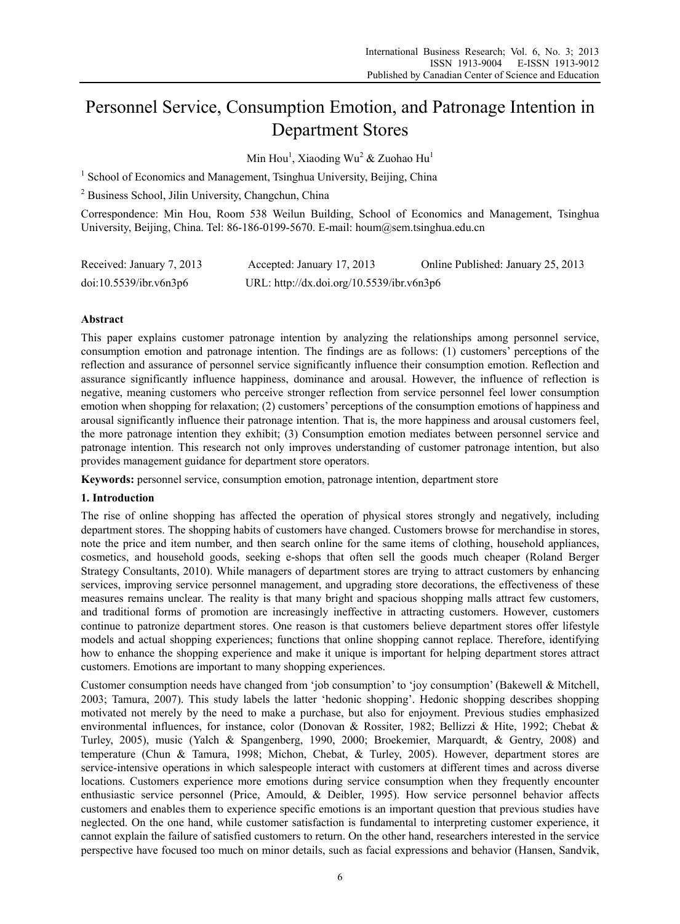# Personnel Service, Consumption Emotion, and Patronage Intention in Department Stores

Min Hou<sup>1</sup>, Xiaoding Wu<sup>2</sup> & Zuohao Hu<sup>1</sup>

<sup>1</sup> School of Economics and Management, Tsinghua University, Beijing, China

2 Business School, Jilin University, Changchun, China

Correspondence: Min Hou, Room 538 Weilun Building, School of Economics and Management, Tsinghua University, Beijing, China. Tel: 86-186-0199-5670. E-mail: houm@sem.tsinghua.edu.cn

| Received: January 7, 2013 | Accepted: January 17, 2013                | Online Published: January 25, 2013 |
|---------------------------|-------------------------------------------|------------------------------------|
| doi:10.5539/ibr.v6n3p6    | URL: http://dx.doi.org/10.5539/ibr.v6n3p6 |                                    |

# **Abstract**

This paper explains customer patronage intention by analyzing the relationships among personnel service, consumption emotion and patronage intention. The findings are as follows: (1) customers' perceptions of the reflection and assurance of personnel service significantly influence their consumption emotion. Reflection and assurance significantly influence happiness, dominance and arousal. However, the influence of reflection is negative, meaning customers who perceive stronger reflection from service personnel feel lower consumption emotion when shopping for relaxation; (2) customers' perceptions of the consumption emotions of happiness and arousal significantly influence their patronage intention. That is, the more happiness and arousal customers feel, the more patronage intention they exhibit; (3) Consumption emotion mediates between personnel service and patronage intention. This research not only improves understanding of customer patronage intention, but also provides management guidance for department store operators.

**Keywords:** personnel service, consumption emotion, patronage intention, department store

## **1. Introduction**

The rise of online shopping has affected the operation of physical stores strongly and negatively, including department stores. The shopping habits of customers have changed. Customers browse for merchandise in stores, note the price and item number, and then search online for the same items of clothing, household appliances, cosmetics, and household goods, seeking e-shops that often sell the goods much cheaper (Roland Berger Strategy Consultants, 2010). While managers of department stores are trying to attract customers by enhancing services, improving service personnel management, and upgrading store decorations, the effectiveness of these measures remains unclear. The reality is that many bright and spacious shopping malls attract few customers, and traditional forms of promotion are increasingly ineffective in attracting customers. However, customers continue to patronize department stores. One reason is that customers believe department stores offer lifestyle models and actual shopping experiences; functions that online shopping cannot replace. Therefore, identifying how to enhance the shopping experience and make it unique is important for helping department stores attract customers. Emotions are important to many shopping experiences.

Customer consumption needs have changed from 'job consumption' to 'joy consumption' (Bakewell & Mitchell, 2003; Tamura, 2007). This study labels the latter 'hedonic shopping'. Hedonic shopping describes shopping motivated not merely by the need to make a purchase, but also for enjoyment. Previous studies emphasized environmental influences, for instance, color (Donovan & Rossiter, 1982; Bellizzi & Hite, 1992; Chebat & Turley, 2005), music (Yalch & Spangenberg, 1990, 2000; Broekemier, Marquardt, & Gentry, 2008) and temperature (Chun & Tamura, 1998; Michon, Chebat, & Turley, 2005). However, department stores are service-intensive operations in which salespeople interact with customers at different times and across diverse locations. Customers experience more emotions during service consumption when they frequently encounter enthusiastic service personnel (Price, Amould, & Deibler, 1995). How service personnel behavior affects customers and enables them to experience specific emotions is an important question that previous studies have neglected. On the one hand, while customer satisfaction is fundamental to interpreting customer experience, it cannot explain the failure of satisfied customers to return. On the other hand, researchers interested in the service perspective have focused too much on minor details, such as facial expressions and behavior (Hansen, Sandvik,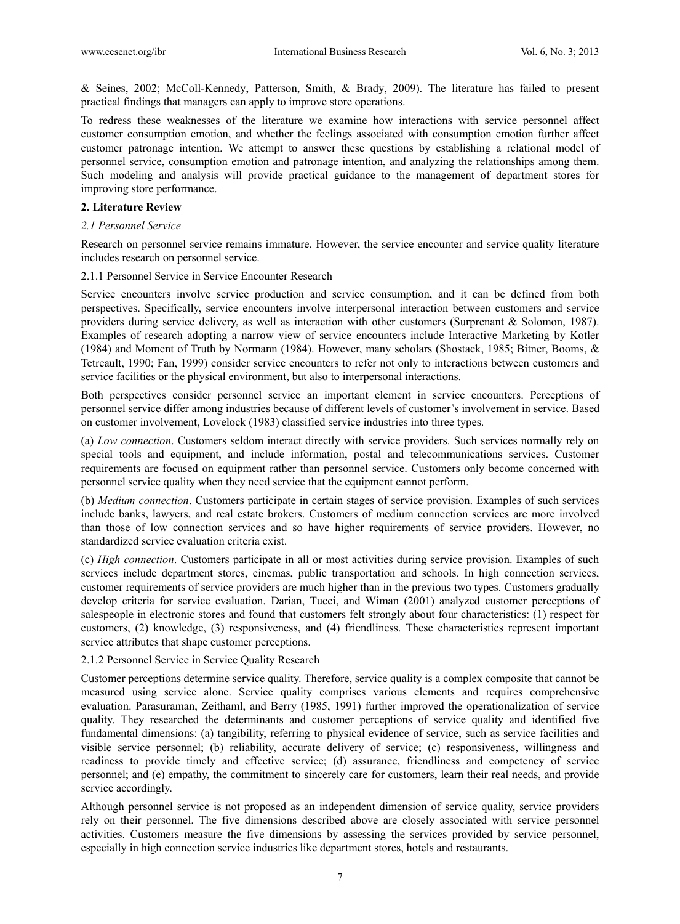& Seines, 2002; McColl-Kennedy, Patterson, Smith, & Brady, 2009). The literature has failed to present practical findings that managers can apply to improve store operations.

To redress these weaknesses of the literature we examine how interactions with service personnel affect customer consumption emotion, and whether the feelings associated with consumption emotion further affect customer patronage intention. We attempt to answer these questions by establishing a relational model of personnel service, consumption emotion and patronage intention, and analyzing the relationships among them. Such modeling and analysis will provide practical guidance to the management of department stores for improving store performance.

#### **2. Literature Review**

#### *2.1 Personnel Service*

Research on personnel service remains immature. However, the service encounter and service quality literature includes research on personnel service.

#### 2.1.1 Personnel Service in Service Encounter Research

Service encounters involve service production and service consumption, and it can be defined from both perspectives. Specifically, service encounters involve interpersonal interaction between customers and service providers during service delivery, as well as interaction with other customers (Surprenant & Solomon, 1987). Examples of research adopting a narrow view of service encounters include Interactive Marketing by Kotler (1984) and Moment of Truth by Normann (1984). However, many scholars (Shostack, 1985; Bitner, Booms, & Tetreault, 1990; Fan, 1999) consider service encounters to refer not only to interactions between customers and service facilities or the physical environment, but also to interpersonal interactions.

Both perspectives consider personnel service an important element in service encounters. Perceptions of personnel service differ among industries because of different levels of customer's involvement in service. Based on customer involvement, Lovelock (1983) classified service industries into three types.

(a) *Low connection*. Customers seldom interact directly with service providers. Such services normally rely on special tools and equipment, and include information, postal and telecommunications services. Customer requirements are focused on equipment rather than personnel service. Customers only become concerned with personnel service quality when they need service that the equipment cannot perform.

(b) *Medium connection*. Customers participate in certain stages of service provision. Examples of such services include banks, lawyers, and real estate brokers. Customers of medium connection services are more involved than those of low connection services and so have higher requirements of service providers. However, no standardized service evaluation criteria exist.

(c) *High connection*. Customers participate in all or most activities during service provision. Examples of such services include department stores, cinemas, public transportation and schools. In high connection services, customer requirements of service providers are much higher than in the previous two types. Customers gradually develop criteria for service evaluation. Darian, Tucci, and Wiman (2001) analyzed customer perceptions of salespeople in electronic stores and found that customers felt strongly about four characteristics: (1) respect for customers, (2) knowledge, (3) responsiveness, and (4) friendliness. These characteristics represent important service attributes that shape customer perceptions.

## 2.1.2 Personnel Service in Service Quality Research

Customer perceptions determine service quality. Therefore, service quality is a complex composite that cannot be measured using service alone. Service quality comprises various elements and requires comprehensive evaluation. Parasuraman, Zeithaml, and Berry (1985, 1991) further improved the operationalization of service quality. They researched the determinants and customer perceptions of service quality and identified five fundamental dimensions: (a) tangibility, referring to physical evidence of service, such as service facilities and visible service personnel; (b) reliability, accurate delivery of service; (c) responsiveness, willingness and readiness to provide timely and effective service; (d) assurance, friendliness and competency of service personnel; and (e) empathy, the commitment to sincerely care for customers, learn their real needs, and provide service accordingly.

Although personnel service is not proposed as an independent dimension of service quality, service providers rely on their personnel. The five dimensions described above are closely associated with service personnel activities. Customers measure the five dimensions by assessing the services provided by service personnel, especially in high connection service industries like department stores, hotels and restaurants.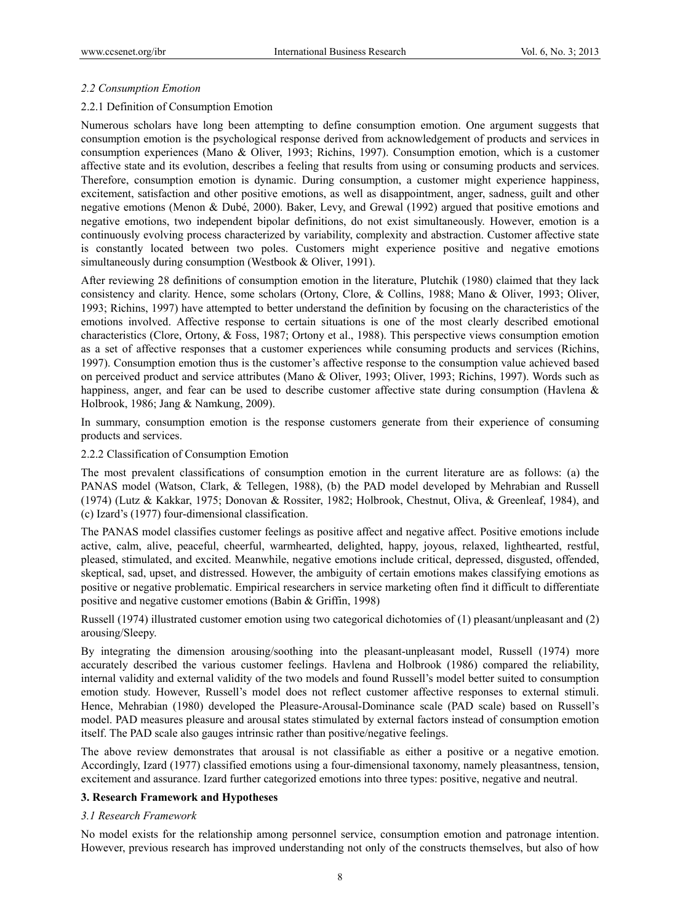## *2.2 Consumption Emotion*

# 2.2.1 Definition of Consumption Emotion

Numerous scholars have long been attempting to define consumption emotion. One argument suggests that consumption emotion is the psychological response derived from acknowledgement of products and services in consumption experiences (Mano & Oliver, 1993; Richins, 1997). Consumption emotion, which is a customer affective state and its evolution, describes a feeling that results from using or consuming products and services. Therefore, consumption emotion is dynamic. During consumption, a customer might experience happiness, excitement, satisfaction and other positive emotions, as well as disappointment, anger, sadness, guilt and other negative emotions (Menon & Dubé, 2000). Baker, Levy, and Grewal (1992) argued that positive emotions and negative emotions, two independent bipolar definitions, do not exist simultaneously. However, emotion is a continuously evolving process characterized by variability, complexity and abstraction. Customer affective state is constantly located between two poles. Customers might experience positive and negative emotions simultaneously during consumption (Westbook & Oliver, 1991).

After reviewing 28 definitions of consumption emotion in the literature, Plutchik (1980) claimed that they lack consistency and clarity. Hence, some scholars (Ortony, Clore, & Collins, 1988; Mano & Oliver, 1993; Oliver, 1993; Richins, 1997) have attempted to better understand the definition by focusing on the characteristics of the emotions involved. Affective response to certain situations is one of the most clearly described emotional characteristics (Clore, Ortony, & Foss, 1987; Ortony et al., 1988). This perspective views consumption emotion as a set of affective responses that a customer experiences while consuming products and services (Richins, 1997). Consumption emotion thus is the customer's affective response to the consumption value achieved based on perceived product and service attributes (Mano & Oliver, 1993; Oliver, 1993; Richins, 1997). Words such as happiness, anger, and fear can be used to describe customer affective state during consumption (Havlena & Holbrook, 1986; Jang & Namkung, 2009).

In summary, consumption emotion is the response customers generate from their experience of consuming products and services.

## 2.2.2 Classification of Consumption Emotion

The most prevalent classifications of consumption emotion in the current literature are as follows: (a) the PANAS model (Watson, Clark, & Tellegen, 1988), (b) the PAD model developed by Mehrabian and Russell (1974) (Lutz & Kakkar, 1975; Donovan & Rossiter, 1982; Holbrook, Chestnut, Oliva, & Greenleaf, 1984), and (c) Izard's (1977) four-dimensional classification.

The PANAS model classifies customer feelings as positive affect and negative affect. Positive emotions include active, calm, alive, peaceful, cheerful, warmhearted, delighted, happy, joyous, relaxed, lighthearted, restful, pleased, stimulated, and excited. Meanwhile, negative emotions include critical, depressed, disgusted, offended, skeptical, sad, upset, and distressed. However, the ambiguity of certain emotions makes classifying emotions as positive or negative problematic. Empirical researchers in service marketing often find it difficult to differentiate positive and negative customer emotions (Babin & Griffin, 1998)

Russell (1974) illustrated customer emotion using two categorical dichotomies of (1) pleasant/unpleasant and (2) arousing/Sleepy.

By integrating the dimension arousing/soothing into the pleasant-unpleasant model, Russell (1974) more accurately described the various customer feelings. Havlena and Holbrook (1986) compared the reliability, internal validity and external validity of the two models and found Russell's model better suited to consumption emotion study. However, Russell's model does not reflect customer affective responses to external stimuli. Hence, Mehrabian (1980) developed the Pleasure-Arousal-Dominance scale (PAD scale) based on Russell's model. PAD measures pleasure and arousal states stimulated by external factors instead of consumption emotion itself. The PAD scale also gauges intrinsic rather than positive/negative feelings.

The above review demonstrates that arousal is not classifiable as either a positive or a negative emotion. Accordingly, Izard (1977) classified emotions using a four-dimensional taxonomy, namely pleasantness, tension, excitement and assurance. Izard further categorized emotions into three types: positive, negative and neutral.

## **3. Research Framework and Hypotheses**

## *3.1 Research Framework*

No model exists for the relationship among personnel service, consumption emotion and patronage intention. However, previous research has improved understanding not only of the constructs themselves, but also of how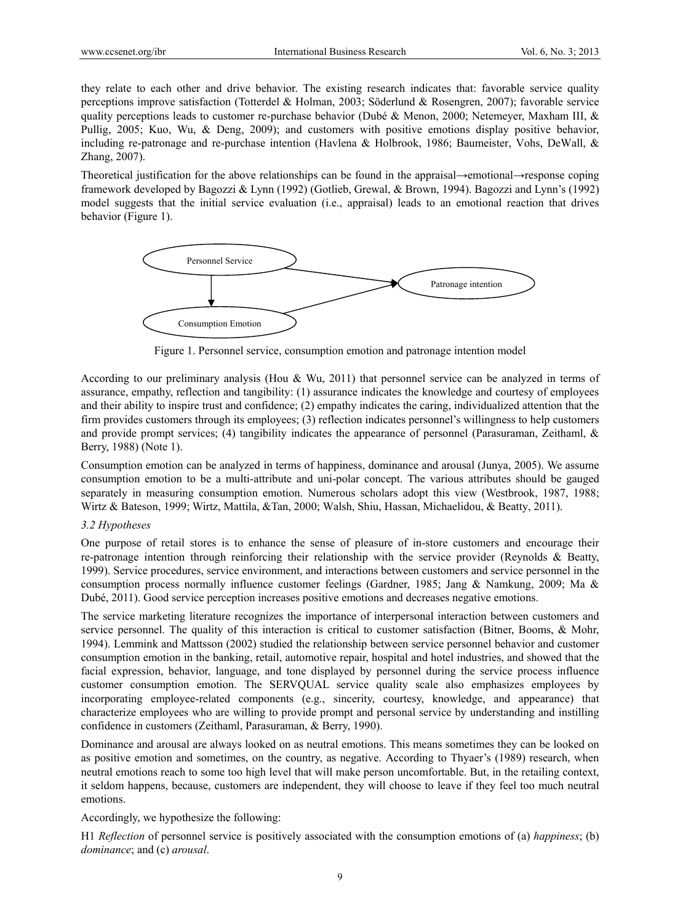they relate to each other and drive behavior. The existing research indicates that: favorable service quality perceptions improve satisfaction (Totterdel & Holman, 2003; Söderlund & Rosengren, 2007); favorable service quality perceptions leads to customer re-purchase behavior (Dubé & Menon, 2000; Netemeyer, Maxham III,  $\&$ Pullig, 2005; Kuo, Wu, & Deng, 2009); and customers with positive emotions display positive behavior, including re-patronage and re-purchase intention (Havlena & Holbrook, 1986; Baumeister, Vohs, DeWall, & Zhang, 2007).

Theoretical justification for the above relationships can be found in the appraisal→emotional→response coping framework developed by Bagozzi & Lynn (1992) (Gotlieb, Grewal, & Brown, 1994). Bagozzi and Lynn's (1992) model suggests that the initial service evaluation (i.e., appraisal) leads to an emotional reaction that drives behavior (Figure 1).



Figure 1. Personnel service, consumption emotion and patronage intention model

According to our preliminary analysis (Hou & Wu, 2011) that personnel service can be analyzed in terms of assurance, empathy, reflection and tangibility: (1) assurance indicates the knowledge and courtesy of employees and their ability to inspire trust and confidence; (2) empathy indicates the caring, individualized attention that the firm provides customers through its employees; (3) reflection indicates personnel's willingness to help customers and provide prompt services; (4) tangibility indicates the appearance of personnel (Parasuraman, Zeithaml, & Berry, 1988) (Note 1).

Consumption emotion can be analyzed in terms of happiness, dominance and arousal (Junya, 2005). We assume consumption emotion to be a multi-attribute and uni-polar concept. The various attributes should be gauged separately in measuring consumption emotion. Numerous scholars adopt this view (Westbrook, 1987, 1988; Wirtz & Bateson, 1999; Wirtz, Mattila, &Tan, 2000; Walsh, Shiu, Hassan, Michaelidou, & Beatty, 2011).

## *3.2 Hypotheses*

One purpose of retail stores is to enhance the sense of pleasure of in-store customers and encourage their re-patronage intention through reinforcing their relationship with the service provider (Reynolds & Beatty, 1999). Service procedures, service environment, and interactions between customers and service personnel in the consumption process normally influence customer feelings (Gardner, 1985; Jang & Namkung, 2009; Ma & Dubé, 2011). Good service perception increases positive emotions and decreases negative emotions.

The service marketing literature recognizes the importance of interpersonal interaction between customers and service personnel. The quality of this interaction is critical to customer satisfaction (Bitner, Booms, & Mohr, 1994). Lemmink and Mattsson (2002) studied the relationship between service personnel behavior and customer consumption emotion in the banking, retail, automotive repair, hospital and hotel industries, and showed that the facial expression, behavior, language, and tone displayed by personnel during the service process influence customer consumption emotion. The SERVQUAL service quality scale also emphasizes employees by incorporating employee-related components (e.g., sincerity, courtesy, knowledge, and appearance) that characterize employees who are willing to provide prompt and personal service by understanding and instilling confidence in customers (Zeithaml, Parasuraman, & Berry, 1990).

Dominance and arousal are always looked on as neutral emotions. This means sometimes they can be looked on as positive emotion and sometimes, on the country, as negative. According to Thyaer's (1989) research, when neutral emotions reach to some too high level that will make person uncomfortable. But, in the retailing context, it seldom happens, because, customers are independent, they will choose to leave if they feel too much neutral emotions.

Accordingly, we hypothesize the following:

H1 *Reflection* of personnel service is positively associated with the consumption emotions of (a) *happiness*; (b) *dominance*; and (c) *arousal*.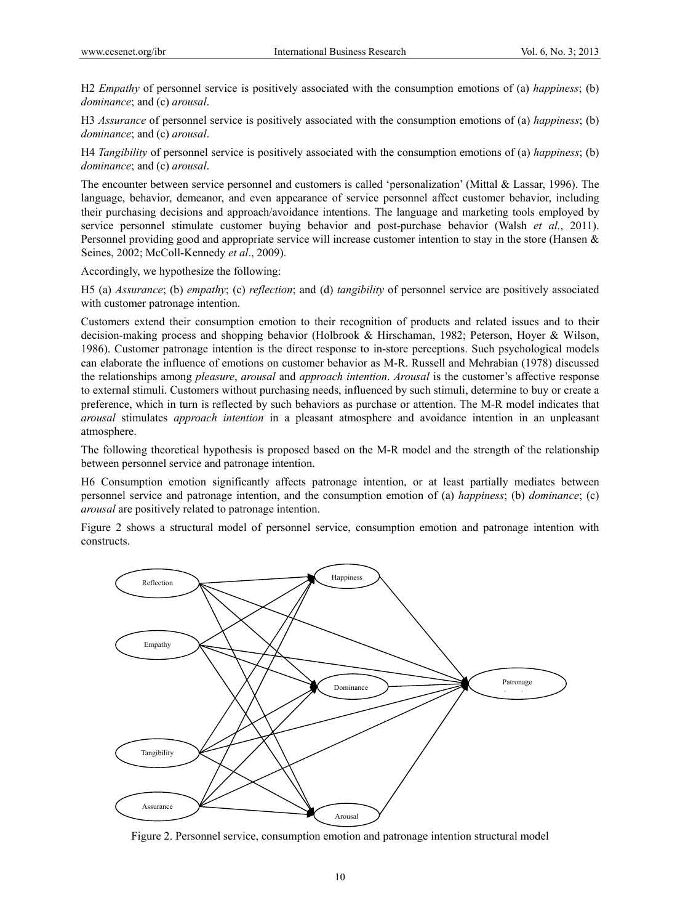H2 *Empathy* of personnel service is positively associated with the consumption emotions of (a) *happiness*; (b) *dominance*; and (c) *arousal*.

H3 *Assurance* of personnel service is positively associated with the consumption emotions of (a) *happiness*; (b) *dominance*; and (c) *arousal*.

H4 *Tangibility* of personnel service is positively associated with the consumption emotions of (a) *happiness*; (b) *dominance*; and (c) *arousal*.

The encounter between service personnel and customers is called 'personalization' (Mittal & Lassar, 1996). The language, behavior, demeanor, and even appearance of service personnel affect customer behavior, including their purchasing decisions and approach/avoidance intentions. The language and marketing tools employed by service personnel stimulate customer buying behavior and post-purchase behavior (Walsh *et al.*, 2011). Personnel providing good and appropriate service will increase customer intention to stay in the store (Hansen & Seines, 2002; McColl-Kennedy *et al*., 2009).

Accordingly, we hypothesize the following:

H5 (a) *Assurance*; (b) *empathy*; (c) *reflection*; and (d) *tangibility* of personnel service are positively associated with customer patronage intention.

Customers extend their consumption emotion to their recognition of products and related issues and to their decision-making process and shopping behavior (Holbrook & Hirschaman, 1982; Peterson, Hoyer & Wilson, 1986). Customer patronage intention is the direct response to in-store perceptions. Such psychological models can elaborate the influence of emotions on customer behavior as M-R. Russell and Mehrabian (1978) discussed the relationships among *pleasure*, *arousal* and *approach intention*. *Arousal* is the customer's affective response to external stimuli. Customers without purchasing needs, influenced by such stimuli, determine to buy or create a preference, which in turn is reflected by such behaviors as purchase or attention. The M-R model indicates that *arousal* stimulates *approach intention* in a pleasant atmosphere and avoidance intention in an unpleasant atmosphere.

The following theoretical hypothesis is proposed based on the M-R model and the strength of the relationship between personnel service and patronage intention.

H6 Consumption emotion significantly affects patronage intention, or at least partially mediates between personnel service and patronage intention, and the consumption emotion of (a) *happiness*; (b) *dominance*; (c) *arousal* are positively related to patronage intention.

Figure 2 shows a structural model of personnel service, consumption emotion and patronage intention with constructs.



Figure 2. Personnel service, consumption emotion and patronage intention structural model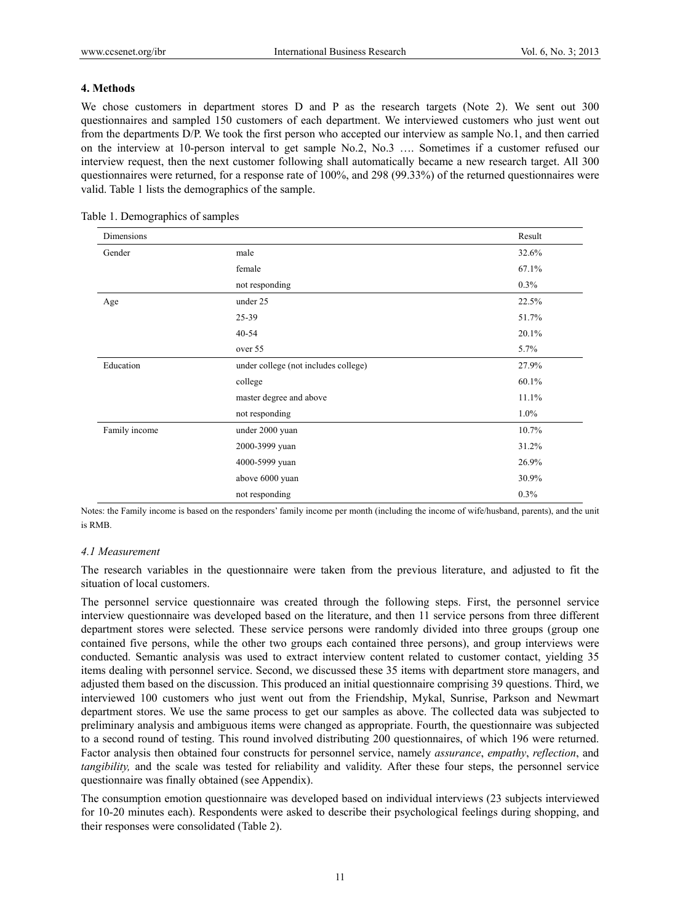# **4. Methods**

We chose customers in department stores D and P as the research targets (Note 2). We sent out 300 questionnaires and sampled 150 customers of each department. We interviewed customers who just went out from the departments D/P. We took the first person who accepted our interview as sample No.1, and then carried on the interview at 10-person interval to get sample No.2, No.3 …. Sometimes if a customer refused our interview request, then the next customer following shall automatically became a new research target. All 300 questionnaires were returned, for a response rate of 100%, and 298 (99.33%) of the returned questionnaires were valid. Table 1 lists the demographics of the sample.

| Dimensions    |                                      | Result  |
|---------------|--------------------------------------|---------|
| Gender        | male                                 | 32.6%   |
|               | female                               | 67.1%   |
|               | not responding                       | 0.3%    |
| Age           | under 25                             | 22.5%   |
|               | 25-39                                | 51.7%   |
|               | $40 - 54$                            | 20.1%   |
|               | over 55                              | 5.7%    |
| Education     | under college (not includes college) | 27.9%   |
|               | college                              | 60.1%   |
|               | master degree and above              | 11.1%   |
|               | not responding                       | $1.0\%$ |
| Family income | under 2000 yuan                      | 10.7%   |
|               | 2000-3999 yuan                       | 31.2%   |
|               | 4000-5999 yuan                       | 26.9%   |
|               | above 6000 yuan                      | 30.9%   |
|               | not responding                       | 0.3%    |

Table 1. Demographics of samples

Notes: the Family income is based on the responders' family income per month (including the income of wife/husband, parents), and the unit is RMB.

## *4.1 Measurement*

The research variables in the questionnaire were taken from the previous literature, and adjusted to fit the situation of local customers.

The personnel service questionnaire was created through the following steps. First, the personnel service interview questionnaire was developed based on the literature, and then 11 service persons from three different department stores were selected. These service persons were randomly divided into three groups (group one contained five persons, while the other two groups each contained three persons), and group interviews were conducted. Semantic analysis was used to extract interview content related to customer contact, yielding 35 items dealing with personnel service. Second, we discussed these 35 items with department store managers, and adjusted them based on the discussion. This produced an initial questionnaire comprising 39 questions. Third, we interviewed 100 customers who just went out from the Friendship, Mykal, Sunrise, Parkson and Newmart department stores. We use the same process to get our samples as above. The collected data was subjected to preliminary analysis and ambiguous items were changed as appropriate. Fourth, the questionnaire was subjected to a second round of testing. This round involved distributing 200 questionnaires, of which 196 were returned. Factor analysis then obtained four constructs for personnel service, namely *assurance*, *empathy*, *reflection*, and *tangibility,* and the scale was tested for reliability and validity. After these four steps, the personnel service questionnaire was finally obtained (see Appendix).

The consumption emotion questionnaire was developed based on individual interviews (23 subjects interviewed for 10-20 minutes each). Respondents were asked to describe their psychological feelings during shopping, and their responses were consolidated (Table 2).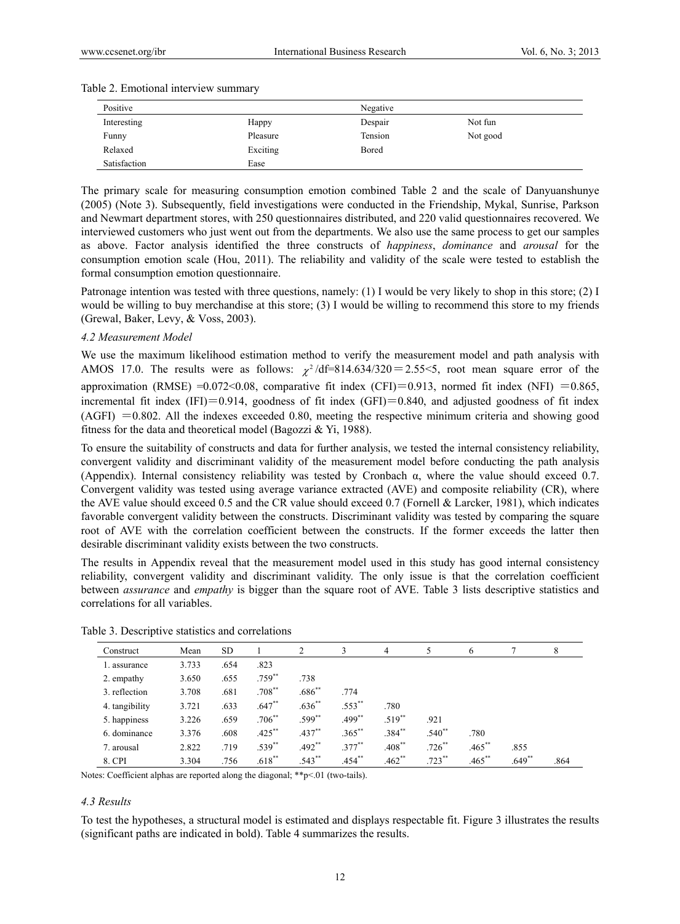| Positive     |          | Negative |          |  |  |  |  |
|--------------|----------|----------|----------|--|--|--|--|
| Interesting  | Happy    | Despair  | Not fun  |  |  |  |  |
| Funny        | Pleasure | Tension  | Not good |  |  |  |  |
| Relaxed      | Exciting | Bored    |          |  |  |  |  |
| Satisfaction | Ease     |          |          |  |  |  |  |

#### Table 2. Emotional interview summary

The primary scale for measuring consumption emotion combined Table 2 and the scale of Danyuanshunye (2005) (Note 3). Subsequently, field investigations were conducted in the Friendship, Mykal, Sunrise, Parkson and Newmart department stores, with 250 questionnaires distributed, and 220 valid questionnaires recovered. We interviewed customers who just went out from the departments. We also use the same process to get our samples as above. Factor analysis identified the three constructs of *happiness*, *dominance* and *arousal* for the consumption emotion scale (Hou, 2011). The reliability and validity of the scale were tested to establish the formal consumption emotion questionnaire.

Patronage intention was tested with three questions, namely: (1) I would be very likely to shop in this store; (2) I would be willing to buy merchandise at this store; (3) I would be willing to recommend this store to my friends (Grewal, Baker, Levy, & Voss, 2003).

#### *4.2 Measurement Model*

We use the maximum likelihood estimation method to verify the measurement model and path analysis with AMOS 17.0. The results were as follows:  $\chi^2$ /df=814.634/320 = 2.55 <5, root mean square error of the approximation (RMSE) = $0.072 \le 0.08$ , comparative fit index (CFI)=0.913, normed fit index (NFI) =0.865, incremental fit index (IFI)=0.914, goodness of fit index (GFI)=0.840, and adjusted goodness of fit index  $(AGFI) = 0.802$ . All the indexes exceeded 0.80, meeting the respective minimum criteria and showing good fitness for the data and theoretical model (Bagozzi & Yi, 1988).

To ensure the suitability of constructs and data for further analysis, we tested the internal consistency reliability, convergent validity and discriminant validity of the measurement model before conducting the path analysis (Appendix). Internal consistency reliability was tested by Cronbach  $\alpha$ , where the value should exceed 0.7. Convergent validity was tested using average variance extracted (AVE) and composite reliability (CR), where the AVE value should exceed 0.5 and the CR value should exceed 0.7 (Fornell & Larcker, 1981), which indicates favorable convergent validity between the constructs. Discriminant validity was tested by comparing the square root of AVE with the correlation coefficient between the constructs. If the former exceeds the latter then desirable discriminant validity exists between the two constructs.

The results in Appendix reveal that the measurement model used in this study has good internal consistency reliability, convergent validity and discriminant validity. The only issue is that the correlation coefficient between *assurance* and *empathy* is bigger than the square root of AVE. Table 3 lists descriptive statistics and correlations for all variables.

| Construct      | Mean  | <b>SD</b> |                      | 2           | 3           | 4           |                      | 6         |          | 8    |
|----------------|-------|-----------|----------------------|-------------|-------------|-------------|----------------------|-----------|----------|------|
| 1. assurance   | 3.733 | .654      | .823                 |             |             |             |                      |           |          |      |
| 2. empathy     | 3.650 | .655      | $.759^{**}$          | .738        |             |             |                      |           |          |      |
| 3. reflection  | 3.708 | .681      | $.708^{**}$          | $.686^{**}$ | .774        |             |                      |           |          |      |
| 4. tangibility | 3.721 | .633      | $.647**$             | $.636^{**}$ | $.553^{**}$ | .780        |                      |           |          |      |
| 5. happiness   | 3.226 | .659      | $.706**$             | $.599**$    | $.499***$   | $.519**$    | .921                 |           |          |      |
| 6. dominance   | 3.376 | .608      | $.425$ <sup>**</sup> | $.437**$    | $.365**$    | $.384^{**}$ | $.540^{**}$          | .780      |          |      |
| 7. arousal     | 2.822 | .719      | $.539^{**}$          | $.492**$    | $.377***$   | $.408**$    | $.726$ <sup>**</sup> | $.465***$ | .855     |      |
| 8. CPI         | 3.304 | .756      | $.618**$             | $.543**$    | $.454***$   | $.462**$    | $.723$ <sup>**</sup> | $.465***$ | $.649**$ | .864 |

Table 3. Descriptive statistics and correlations

Notes: Coefficient alphas are reported along the diagonal; \*\*p<.01 (two-tails).

#### *4.3 Results*

To test the hypotheses, a structural model is estimated and displays respectable fit. Figure 3 illustrates the results (significant paths are indicated in bold). Table 4 summarizes the results.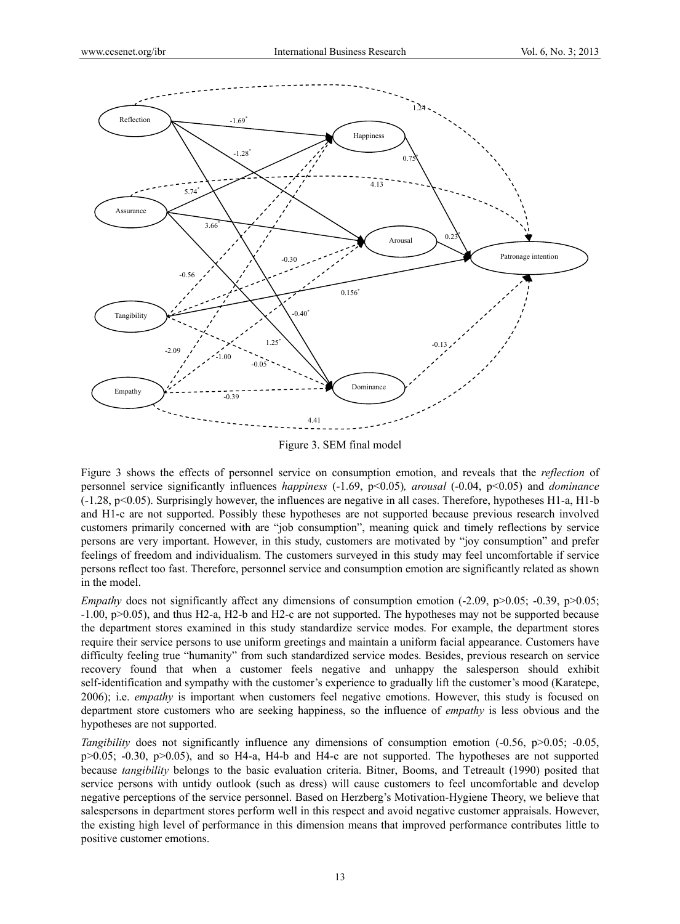

Figure 3. SEM final model

Figure 3 shows the effects of personnel service on consumption emotion, and reveals that the *reflection* of personnel service significantly influences *happiness* (-1.69, p<0.05)*, arousal* (-0.04, p<0.05) and *dominance* (-1.28, p<0.05). Surprisingly however, the influences are negative in all cases. Therefore, hypotheses H1-a, H1-b and H1-c are not supported. Possibly these hypotheses are not supported because previous research involved customers primarily concerned with are "job consumption", meaning quick and timely reflections by service persons are very important. However, in this study, customers are motivated by "joy consumption" and prefer feelings of freedom and individualism. The customers surveyed in this study may feel uncomfortable if service persons reflect too fast. Therefore, personnel service and consumption emotion are significantly related as shown in the model.

*Empathy* does not significantly affect any dimensions of consumption emotion (-2.09, p>0.05; -0.39, p>0.05; -1.00, p>0.05), and thus H2-a, H2-b and H2-c are not supported. The hypotheses may not be supported because the department stores examined in this study standardize service modes. For example, the department stores require their service persons to use uniform greetings and maintain a uniform facial appearance. Customers have difficulty feeling true "humanity" from such standardized service modes. Besides, previous research on service recovery found that when a customer feels negative and unhappy the salesperson should exhibit self-identification and sympathy with the customer's experience to gradually lift the customer's mood (Karatepe, 2006); i.e. *empathy* is important when customers feel negative emotions. However, this study is focused on department store customers who are seeking happiness, so the influence of *empathy* is less obvious and the hypotheses are not supported.

*Tangibility* does not significantly influence any dimensions of consumption emotion (-0.56, p>0.05; -0.05,  $p>0.05$ ; -0.30,  $p>0.05$ ), and so H4-a, H4-b and H4-c are not supported. The hypotheses are not supported because *tangibility* belongs to the basic evaluation criteria. Bitner, Booms, and Tetreault (1990) posited that service persons with untidy outlook (such as dress) will cause customers to feel uncomfortable and develop negative perceptions of the service personnel. Based on Herzberg's Motivation-Hygiene Theory, we believe that salespersons in department stores perform well in this respect and avoid negative customer appraisals. However, the existing high level of performance in this dimension means that improved performance contributes little to positive customer emotions.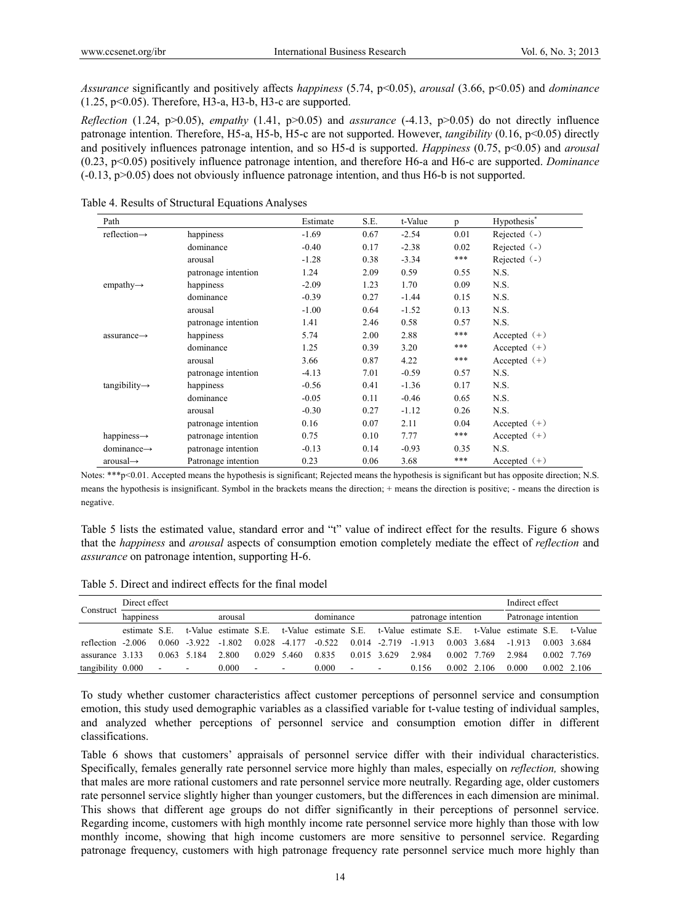*Assurance* significantly and positively affects *happiness* (5.74, p<0.05), *arousal* (3.66, p<0.05) and *dominance*   $(1.25, p<0.05)$ . Therefore, H3-a, H3-b, H3-c are supported.

*Reflection* (1.24, p>0.05), *empathy* (1.41, p>0.05) and *assurance* (-4.13, p>0.05) do not directly influence patronage intention. Therefore, H5-a, H5-b, H5-c are not supported. However, *tangibility* (0.16, p<0.05) directly and positively influences patronage intention, and so H5-d is supported. *Happiness* (0.75, p<0.05) and *arousal* (0.23, p<0.05) positively influence patronage intention, and therefore H6-a and H6-c are supported. *Dominance*   $(-0.13, p>0.05)$  does not obviously influence patronage intention, and thus H6-b is not supported.

| Path                      |                     | Estimate | S.E. | t-Value | n    | Hypothesis*    |
|---------------------------|---------------------|----------|------|---------|------|----------------|
| reflection $\rightarrow$  | happiness           | $-1.69$  | 0.67 | $-2.54$ | 0.01 | Rejected $(-)$ |
|                           | dominance           | $-0.40$  | 0.17 | $-2.38$ | 0.02 | Rejected $(-)$ |
|                           | arousal             | $-1.28$  | 0.38 | $-3.34$ | ***  | Rejected $(-)$ |
|                           | patronage intention | 1.24     | 2.09 | 0.59    | 0.55 | N.S.           |
| empathy $\rightarrow$     | happiness           | $-2.09$  | 1.23 | 1.70    | 0.09 | N.S.           |
|                           | dominance           | $-0.39$  | 0.27 | $-1.44$ | 0.15 | N.S.           |
|                           | arousal             | $-1.00$  | 0.64 | $-1.52$ | 0.13 | N.S.           |
|                           | patronage intention | 1.41     | 2.46 | 0.58    | 0.57 | N.S.           |
| $assurance \rightarrow$   | happiness           | 5.74     | 2.00 | 2.88    | ***  | Accepted $(+)$ |
|                           | dominance           | 1.25     | 0.39 | 3.20    | ***  | Accepted $(+)$ |
|                           | arousal             | 3.66     | 0.87 | 4.22    | ***  | Accepted $(+)$ |
|                           | patronage intention | $-4.13$  | 7.01 | $-0.59$ | 0.57 | N.S.           |
| $tangibility \rightarrow$ | happiness           | $-0.56$  | 0.41 | $-1.36$ | 0.17 | N.S.           |
|                           | dominance           | $-0.05$  | 0.11 | $-0.46$ | 0.65 | N.S.           |
|                           | arousal             | $-0.30$  | 0.27 | $-1.12$ | 0.26 | N.S.           |
|                           | patronage intention | 0.16     | 0.07 | 2.11    | 0.04 | Accepted $(+)$ |
| happiness $\rightarrow$   | patronage intention | 0.75     | 0.10 | 7.77    | ***  | Accepted $(+)$ |
| $dominance \rightarrow$   | patronage intention | $-0.13$  | 0.14 | $-0.93$ | 0.35 | N.S.           |
| $arousal \rightarrow$     | Patronage intention | 0.23     | 0.06 | 3.68    | ***  | Accepted $(+)$ |

Table 4. Results of Structural Equations Analyses

Notes: \*\*\*p<0.01. Accepted means the hypothesis is significant; Rejected means the hypothesis is significant but has opposite direction; N.S. means the hypothesis is insignificant. Symbol in the brackets means the direction; + means the direction is positive; - means the direction is negative.

Table 5 lists the estimated value, standard error and "t" value of indirect effect for the results. Figure 6 shows that the *happiness* and *arousal* aspects of consumption emotion completely mediate the effect of *reflection* and *assurance* on patronage intention, supporting H-6.

Table 5. Direct and indirect effects for the final model

|                   | Direct effect |                                    |                 |                                                                                                 |                                 |                 |          |                      |                         |       | Indirect effect |                   |                     |                     |  |
|-------------------|---------------|------------------------------------|-----------------|-------------------------------------------------------------------------------------------------|---------------------------------|-----------------|----------|----------------------|-------------------------|-------|-----------------|-------------------|---------------------|---------------------|--|
| Construct         | happiness     |                                    |                 | arousal                                                                                         | dominance                       |                 |          |                      | patronage intention     |       |                 |                   | Patronage intention |                     |  |
|                   | estimate S.E. |                                    |                 | t-Value estimate S.E. t-Value estimate S.E. t-Value estimate S.E. t-Value estimate S.E. t-Value |                                 |                 |          |                      |                         |       |                 |                   |                     |                     |  |
| reflection -2.006 |               |                                    | $0.060 - 3.922$ | $-1.802$                                                                                        |                                 | $0.028 - 4.177$ | $-0.522$ |                      | $0.014 - 2.719 - 1.913$ |       |                 | 0.003 3.684       | $-1913$             | 0.003 3.684         |  |
| assurance 3.133   |               |                                    | 0.063 5.184     | 2.800                                                                                           | 0.029 5.460                     |                 | 0.835    | 0.015 3.629          |                         | 2.984 | 0.002 7.769     |                   | 2.984               | 0.002 7.769         |  |
| tangibility 0.000 |               | <b>Contract Contract</b><br>$\sim$ |                 | 0.000                                                                                           | <b>Contract State</b><br>$\sim$ |                 | 0.000    | $\sim 100$<br>$\sim$ |                         | 0.156 |                 | $0.002 \pm 2.106$ | 0.000               | $0.002 \quad 2.106$ |  |

To study whether customer characteristics affect customer perceptions of personnel service and consumption emotion, this study used demographic variables as a classified variable for t-value testing of individual samples, and analyzed whether perceptions of personnel service and consumption emotion differ in different classifications.

Table 6 shows that customers' appraisals of personnel service differ with their individual characteristics. Specifically, females generally rate personnel service more highly than males, especially on *reflection,* showing that males are more rational customers and rate personnel service more neutrally. Regarding age, older customers rate personnel service slightly higher than younger customers, but the differences in each dimension are minimal. This shows that different age groups do not differ significantly in their perceptions of personnel service. Regarding income, customers with high monthly income rate personnel service more highly than those with low monthly income, showing that high income customers are more sensitive to personnel service. Regarding patronage frequency, customers with high patronage frequency rate personnel service much more highly than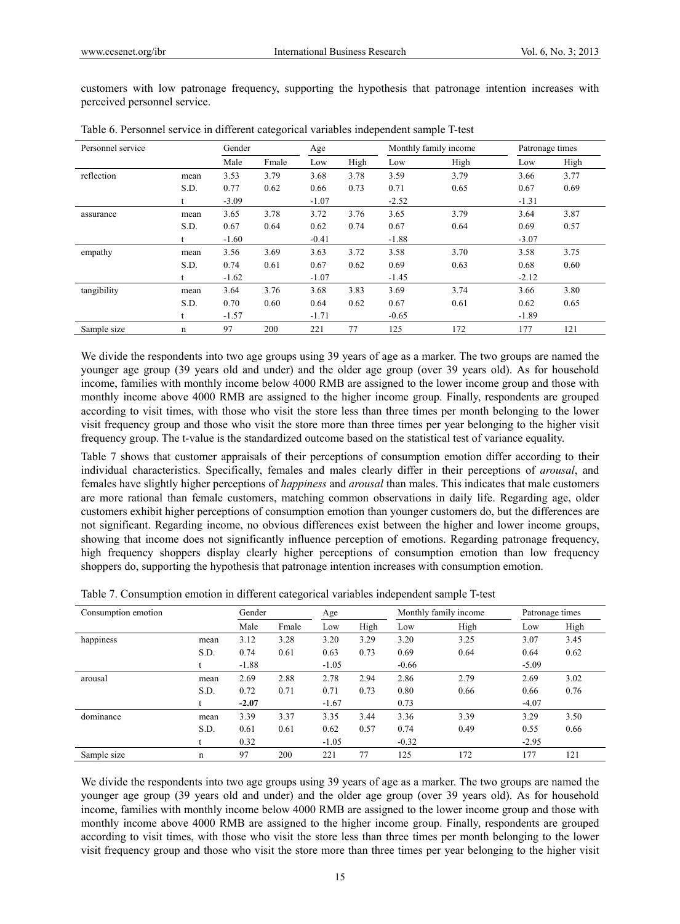customers with low patronage frequency, supporting the hypothesis that patronage intention increases with perceived personnel service.

| Personnel service |      | Gender  |       | Age     |      |         | Monthly family income | Patronage times |      |
|-------------------|------|---------|-------|---------|------|---------|-----------------------|-----------------|------|
|                   |      | Male    | Fmale | Low     | High | Low     | High                  | Low             | High |
| reflection        | mean | 3.53    | 3.79  | 3.68    | 3.78 | 3.59    | 3.79                  | 3.66            | 3.77 |
|                   | S.D. | 0.77    | 0.62  | 0.66    | 0.73 | 0.71    | 0.65                  | 0.67            | 0.69 |
|                   |      | $-3.09$ |       | $-1.07$ |      | $-2.52$ |                       | $-1.31$         |      |
| assurance         | mean | 3.65    | 3.78  | 3.72    | 3.76 | 3.65    | 3.79                  | 3.64            | 3.87 |
|                   | S.D. | 0.67    | 0.64  | 0.62    | 0.74 | 0.67    | 0.64                  | 0.69            | 0.57 |
|                   |      | $-1.60$ |       | $-0.41$ |      | $-1.88$ |                       | $-3.07$         |      |
| empathy           | mean | 3.56    | 3.69  | 3.63    | 3.72 | 3.58    | 3.70                  | 3.58            | 3.75 |
|                   | S.D. | 0.74    | 0.61  | 0.67    | 0.62 | 0.69    | 0.63                  | 0.68            | 0.60 |
|                   |      | $-1.62$ |       | $-1.07$ |      | $-1.45$ |                       | $-2.12$         |      |
| tangibility       | mean | 3.64    | 3.76  | 3.68    | 3.83 | 3.69    | 3.74                  | 3.66            | 3.80 |
|                   | S.D. | 0.70    | 0.60  | 0.64    | 0.62 | 0.67    | 0.61                  | 0.62            | 0.65 |
|                   |      | $-1.57$ |       | $-1.71$ |      | $-0.65$ |                       | $-1.89$         |      |
| Sample size       | n    | 97      | 200   | 221     | 77   | 125     | 172                   | 177             | 121  |

Table 6. Personnel service in different categorical variables independent sample T-test

We divide the respondents into two age groups using 39 years of age as a marker. The two groups are named the younger age group (39 years old and under) and the older age group (over 39 years old). As for household income, families with monthly income below 4000 RMB are assigned to the lower income group and those with monthly income above 4000 RMB are assigned to the higher income group. Finally, respondents are grouped according to visit times, with those who visit the store less than three times per month belonging to the lower visit frequency group and those who visit the store more than three times per year belonging to the higher visit frequency group. The t-value is the standardized outcome based on the statistical test of variance equality.

Table 7 shows that customer appraisals of their perceptions of consumption emotion differ according to their individual characteristics. Specifically, females and males clearly differ in their perceptions of *arousal*, and females have slightly higher perceptions of *happiness* and *arousal* than males. This indicates that male customers are more rational than female customers, matching common observations in daily life. Regarding age, older customers exhibit higher perceptions of consumption emotion than younger customers do, but the differences are not significant. Regarding income, no obvious differences exist between the higher and lower income groups, showing that income does not significantly influence perception of emotions. Regarding patronage frequency, high frequency shoppers display clearly higher perceptions of consumption emotion than low frequency shoppers do, supporting the hypothesis that patronage intention increases with consumption emotion.

| Consumption emotion |      |         | Gender |         | Age  |         | Monthly family income |         | Patronage times |  |
|---------------------|------|---------|--------|---------|------|---------|-----------------------|---------|-----------------|--|
|                     |      | Male    | Fmale  | Low     | High | Low     | High                  | Low     | High            |  |
| happiness           | mean | 3.12    | 3.28   | 3.20    | 3.29 | 3.20    | 3.25                  | 3.07    | 3.45            |  |
|                     | S.D. | 0.74    | 0.61   | 0.63    | 0.73 | 0.69    | 0.64                  | 0.64    | 0.62            |  |
|                     |      | $-1.88$ |        | $-1.05$ |      | $-0.66$ |                       | $-5.09$ |                 |  |
| arousal             | mean | 2.69    | 2.88   | 2.78    | 2.94 | 2.86    | 2.79                  | 2.69    | 3.02            |  |
|                     | S.D. | 0.72    | 0.71   | 0.71    | 0.73 | 0.80    | 0.66                  | 0.66    | 0.76            |  |
|                     |      | $-2.07$ |        | $-1.67$ |      | 0.73    |                       | $-4.07$ |                 |  |
| dominance           | mean | 3.39    | 3.37   | 3.35    | 3.44 | 3.36    | 3.39                  | 3.29    | 3.50            |  |
|                     | S.D. | 0.61    | 0.61   | 0.62    | 0.57 | 0.74    | 0.49                  | 0.55    | 0.66            |  |
|                     |      | 0.32    |        | $-1.05$ |      | $-0.32$ |                       | $-2.95$ |                 |  |
| Sample size         | n    | 97      | 200    | 221     | 77   | 125     | 172                   | 177     | 121             |  |

Table 7. Consumption emotion in different categorical variables independent sample T-test

We divide the respondents into two age groups using 39 years of age as a marker. The two groups are named the younger age group (39 years old and under) and the older age group (over 39 years old). As for household income, families with monthly income below 4000 RMB are assigned to the lower income group and those with monthly income above 4000 RMB are assigned to the higher income group. Finally, respondents are grouped according to visit times, with those who visit the store less than three times per month belonging to the lower visit frequency group and those who visit the store more than three times per year belonging to the higher visit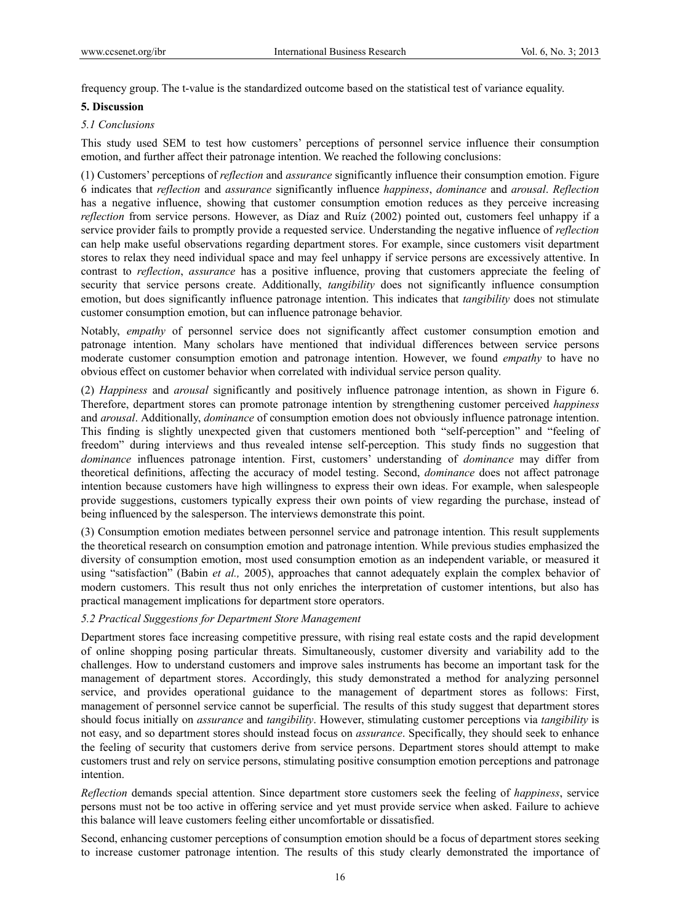frequency group. The t-value is the standardized outcome based on the statistical test of variance equality.

# **5. Discussion**

# *5.1 Conclusions*

This study used SEM to test how customers' perceptions of personnel service influence their consumption emotion, and further affect their patronage intention. We reached the following conclusions:

(1) Customers' perceptions of *reflection* and *assurance* significantly influence their consumption emotion. Figure 6 indicates that *reflection* and *assurance* significantly influence *happiness*, *dominance* and *arousal*. *Reflection* has a negative influence, showing that customer consumption emotion reduces as they perceive increasing *reflection* from service persons. However, as Díaz and Ruíz (2002) pointed out, customers feel unhappy if a service provider fails to promptly provide a requested service. Understanding the negative influence of *reflection*  can help make useful observations regarding department stores. For example, since customers visit department stores to relax they need individual space and may feel unhappy if service persons are excessively attentive. In contrast to *reflection*, *assurance* has a positive influence, proving that customers appreciate the feeling of security that service persons create. Additionally, *tangibility* does not significantly influence consumption emotion, but does significantly influence patronage intention. This indicates that *tangibility* does not stimulate customer consumption emotion, but can influence patronage behavior.

Notably, *empathy* of personnel service does not significantly affect customer consumption emotion and patronage intention. Many scholars have mentioned that individual differences between service persons moderate customer consumption emotion and patronage intention. However, we found *empathy* to have no obvious effect on customer behavior when correlated with individual service person quality.

(2) *Happiness* and *arousal* significantly and positively influence patronage intention, as shown in Figure 6. Therefore, department stores can promote patronage intention by strengthening customer perceived *happiness* and *arousal*. Additionally, *dominance* of consumption emotion does not obviously influence patronage intention. This finding is slightly unexpected given that customers mentioned both "self-perception" and "feeling of freedom" during interviews and thus revealed intense self-perception. This study finds no suggestion that *dominance* influences patronage intention. First, customers' understanding of *dominance* may differ from theoretical definitions, affecting the accuracy of model testing. Second, *dominance* does not affect patronage intention because customers have high willingness to express their own ideas. For example, when salespeople provide suggestions, customers typically express their own points of view regarding the purchase, instead of being influenced by the salesperson. The interviews demonstrate this point.

(3) Consumption emotion mediates between personnel service and patronage intention. This result supplements the theoretical research on consumption emotion and patronage intention. While previous studies emphasized the diversity of consumption emotion, most used consumption emotion as an independent variable, or measured it using "satisfaction" (Babin *et al.,* 2005), approaches that cannot adequately explain the complex behavior of modern customers. This result thus not only enriches the interpretation of customer intentions, but also has practical management implications for department store operators.

# *5.2 Practical Suggestions for Department Store Management*

Department stores face increasing competitive pressure, with rising real estate costs and the rapid development of online shopping posing particular threats. Simultaneously, customer diversity and variability add to the challenges. How to understand customers and improve sales instruments has become an important task for the management of department stores. Accordingly, this study demonstrated a method for analyzing personnel service, and provides operational guidance to the management of department stores as follows: First, management of personnel service cannot be superficial. The results of this study suggest that department stores should focus initially on *assurance* and *tangibility*. However, stimulating customer perceptions via *tangibility* is not easy, and so department stores should instead focus on *assurance*. Specifically, they should seek to enhance the feeling of security that customers derive from service persons. Department stores should attempt to make customers trust and rely on service persons, stimulating positive consumption emotion perceptions and patronage intention.

*Reflection* demands special attention. Since department store customers seek the feeling of *happiness*, service persons must not be too active in offering service and yet must provide service when asked. Failure to achieve this balance will leave customers feeling either uncomfortable or dissatisfied.

Second, enhancing customer perceptions of consumption emotion should be a focus of department stores seeking to increase customer patronage intention. The results of this study clearly demonstrated the importance of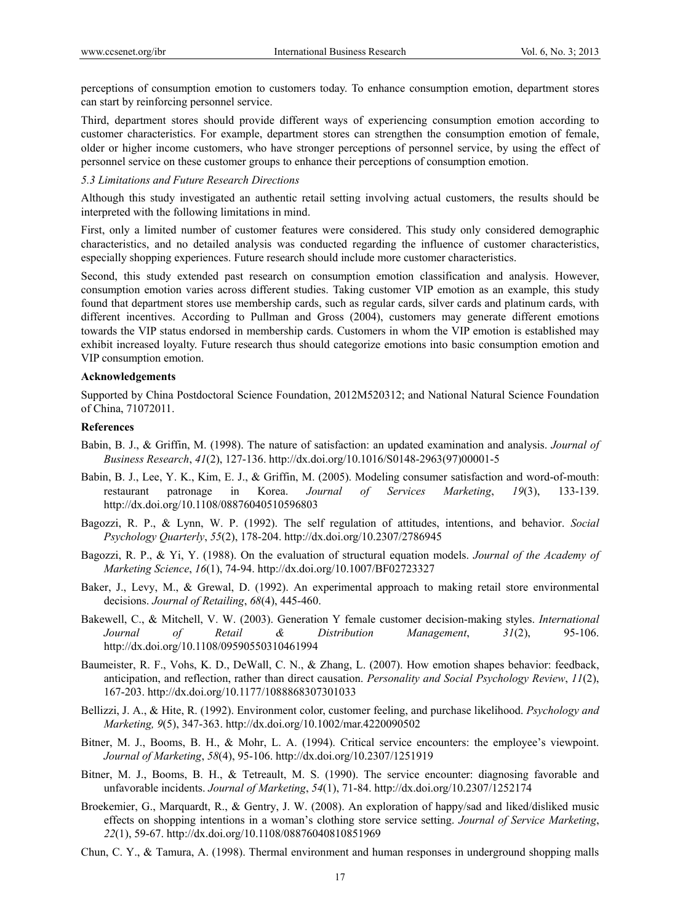perceptions of consumption emotion to customers today. To enhance consumption emotion, department stores can start by reinforcing personnel service.

Third, department stores should provide different ways of experiencing consumption emotion according to customer characteristics. For example, department stores can strengthen the consumption emotion of female, older or higher income customers, who have stronger perceptions of personnel service, by using the effect of personnel service on these customer groups to enhance their perceptions of consumption emotion.

## *5.3 Limitations and Future Research Directions*

Although this study investigated an authentic retail setting involving actual customers, the results should be interpreted with the following limitations in mind.

First, only a limited number of customer features were considered. This study only considered demographic characteristics, and no detailed analysis was conducted regarding the influence of customer characteristics, especially shopping experiences. Future research should include more customer characteristics.

Second, this study extended past research on consumption emotion classification and analysis. However, consumption emotion varies across different studies. Taking customer VIP emotion as an example, this study found that department stores use membership cards, such as regular cards, silver cards and platinum cards, with different incentives. According to Pullman and Gross (2004), customers may generate different emotions towards the VIP status endorsed in membership cards. Customers in whom the VIP emotion is established may exhibit increased loyalty. Future research thus should categorize emotions into basic consumption emotion and VIP consumption emotion.

#### **Acknowledgements**

Supported by China Postdoctoral Science Foundation, 2012M520312; and National Natural Science Foundation of China, 71072011.

#### **References**

- Babin, B. J., & Griffin, M. (1998). The nature of satisfaction: an updated examination and analysis. *Journal of Business Research*, *41*(2), 127-136. http://dx.doi.org/10.1016/S0148-2963(97)00001-5
- Babin, B. J., Lee, Y. K., Kim, E. J., & Griffin, M. (2005). Modeling consumer satisfaction and word-of-mouth: restaurant patronage in Korea. *Journal of Services Marketing*, *19*(3), 133-139. http://dx.doi.org/10.1108/08876040510596803
- Bagozzi, R. P., & Lynn, W. P. (1992). The self regulation of attitudes, intentions, and behavior. *Social Psychology Quarterly*, *55*(2), 178-204. http://dx.doi.org/10.2307/2786945
- Bagozzi, R. P., & Yi, Y. (1988). On the evaluation of structural equation models. *Journal of the Academy of Marketing Science*, *16*(1), 74-94. http://dx.doi.org/10.1007/BF02723327
- Baker, J., Levy, M., & Grewal, D. (1992). An experimental approach to making retail store environmental decisions. *Journal of Retailing*, *68*(4), 445-460.
- Bakewell, C., & Mitchell, V. W. (2003). Generation Y female customer decision-making styles. *International Journal of Retail & Distribution Management*, *31*(2), 95-106. http://dx.doi.org/10.1108/09590550310461994
- Baumeister, R. F., Vohs, K. D., DeWall, C. N., & Zhang, L. (2007). How emotion shapes behavior: feedback, anticipation, and reflection, rather than direct causation. *Personality and Social Psychology Review*, *11*(2), 167-203. http://dx.doi.org/10.1177/1088868307301033
- Bellizzi, J. A., & Hite, R. (1992). Environment color, customer feeling, and purchase likelihood. *Psychology and Marketing, 9*(5), 347-363. http://dx.doi.org/10.1002/mar.4220090502
- Bitner, M. J., Booms, B. H., & Mohr, L. A. (1994). Critical service encounters: the employee's viewpoint. *Journal of Marketing*, *58*(4), 95-106. http://dx.doi.org/10.2307/1251919
- Bitner, M. J., Booms, B. H., & Tetreault, M. S. (1990). The service encounter: diagnosing favorable and unfavorable incidents. *Journal of Marketing*, *54*(1), 71-84. http://dx.doi.org/10.2307/1252174
- Broekemier, G., Marquardt, R., & Gentry, J. W. (2008). An exploration of happy/sad and liked/disliked music effects on shopping intentions in a woman's clothing store service setting. *Journal of Service Marketing*, *22*(1), 59-67. http://dx.doi.org/10.1108/08876040810851969
- Chun, C. Y., & Tamura, A. (1998). Thermal environment and human responses in underground shopping malls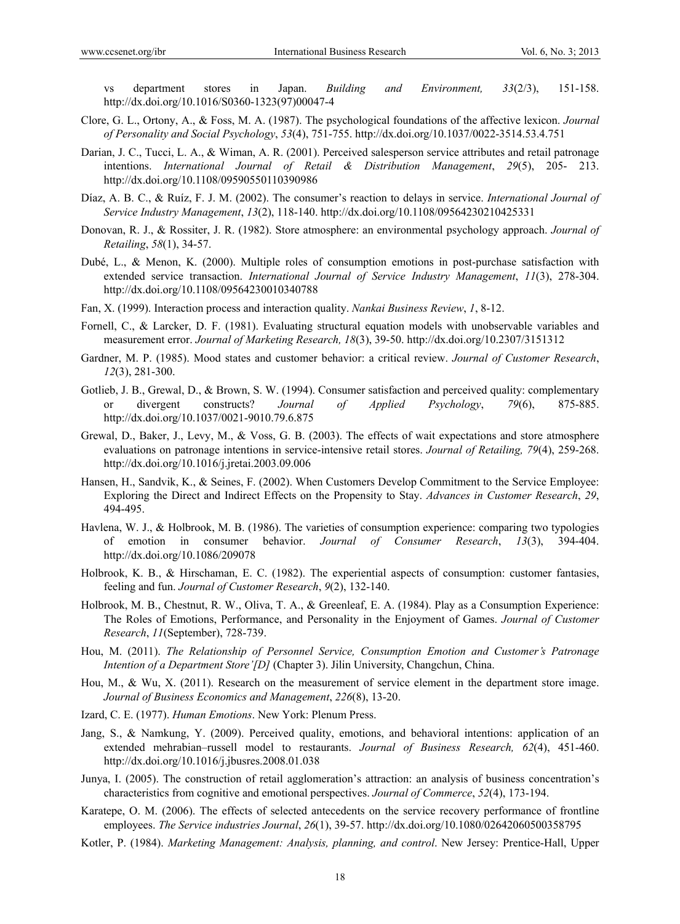vs department stores in Japan. *Building and Environment, 33*(2/3), 151-158. http://dx.doi.org/10.1016/S0360-1323(97)00047-4

- Clore, G. L., Ortony, A., & Foss, M. A. (1987). The psychological foundations of the affective lexicon. *Journal of Personality and Social Psychology*, *53*(4), 751-755. http://dx.doi.org/10.1037/0022-3514.53.4.751
- Darian, J. C., Tucci, L. A., & Wiman, A. R. (2001). Perceived salesperson service attributes and retail patronage intentions. *International Journal of Retail & Distribution Management*, *29*(5), 205- 213. http://dx.doi.org/10.1108/09590550110390986
- Díaz, A. B. C., & Ruíz, F. J. M. (2002). The consumer's reaction to delays in service. *International Journal of Service Industry Management*, *13*(2), 118-140. http://dx.doi.org/10.1108/09564230210425331
- Donovan, R. J., & Rossiter, J. R. (1982). Store atmosphere: an environmental psychology approach. *Journal of Retailing*, *58*(1), 34-57.
- Dubé, L., & Menon, K. (2000). Multiple roles of consumption emotions in post-purchase satisfaction with extended service transaction. *International Journal of Service Industry Management*, *11*(3), 278-304. http://dx.doi.org/10.1108/09564230010340788
- Fan, X. (1999). Interaction process and interaction quality. *Nankai Business Review*, *1*, 8-12.
- Fornell, C., & Larcker, D. F. (1981). Evaluating structural equation models with unobservable variables and measurement error. *Journal of Marketing Research, 18*(3), 39-50. http://dx.doi.org/10.2307/3151312
- Gardner, M. P. (1985). Mood states and customer behavior: a critical review. *Journal of Customer Research*, *12*(3), 281-300.
- Gotlieb, J. B., Grewal, D., & Brown, S. W. (1994). Consumer satisfaction and perceived quality: complementary or divergent constructs? *Journal of Applied Psychology*, *79*(6), 875-885. http://dx.doi.org/10.1037/0021-9010.79.6.875
- Grewal, D., Baker, J., Levy, M., & Voss, G. B. (2003). The effects of wait expectations and store atmosphere evaluations on patronage intentions in service-intensive retail stores. *Journal of Retailing, 79*(4), 259-268. http://dx.doi.org/10.1016/j.jretai.2003.09.006
- Hansen, H., Sandvik, K., & Seines, F. (2002). When Customers Develop Commitment to the Service Employee: Exploring the Direct and Indirect Effects on the Propensity to Stay. *Advances in Customer Research*, *29*, 494-495.
- Havlena, W. J., & Holbrook, M. B. (1986). The varieties of consumption experience: comparing two typologies of emotion in consumer behavior. *Journal of Consumer Research*, *13*(3), 394-404. http://dx.doi.org/10.1086/209078
- Holbrook, K. B., & Hirschaman, E. C. (1982). The experiential aspects of consumption: customer fantasies, feeling and fun. *Journal of Customer Research*, *9*(2), 132-140.
- Holbrook, M. B., Chestnut, R. W., Oliva, T. A., & Greenleaf, E. A. (1984). Play as a Consumption Experience: The Roles of Emotions, Performance, and Personality in the Enjoyment of Games. *Journal of Customer Research*, *11*(September), 728-739.
- Hou, M. (2011). *The Relationship of Personnel Service, Consumption Emotion and Customer's Patronage Intention of a Department Store'[D]* (Chapter 3). Jilin University, Changchun, China.
- Hou, M., & Wu, X. (2011). Research on the measurement of service element in the department store image. *Journal of Business Economics and Management*, *226*(8), 13-20.
- Izard, C. E. (1977). *Human Emotions*. New York: Plenum Press.
- Jang, S., & Namkung, Y. (2009). Perceived quality, emotions, and behavioral intentions: application of an extended mehrabian–russell model to restaurants. *Journal of Business Research, 62*(4), 451-460. http://dx.doi.org/10.1016/j.jbusres.2008.01.038
- Junya, I. (2005). The construction of retail agglomeration's attraction: an analysis of business concentration's characteristics from cognitive and emotional perspectives. *Journal of Commerce*, *52*(4), 173-194.
- Karatepe, O. M. (2006). The effects of selected antecedents on the service recovery performance of frontline employees. *The Service industries Journal*, *26*(1), 39-57. http://dx.doi.org/10.1080/02642060500358795
- Kotler, P. (1984). *Marketing Management: Analysis, planning, and control*. New Jersey: Prentice-Hall, Upper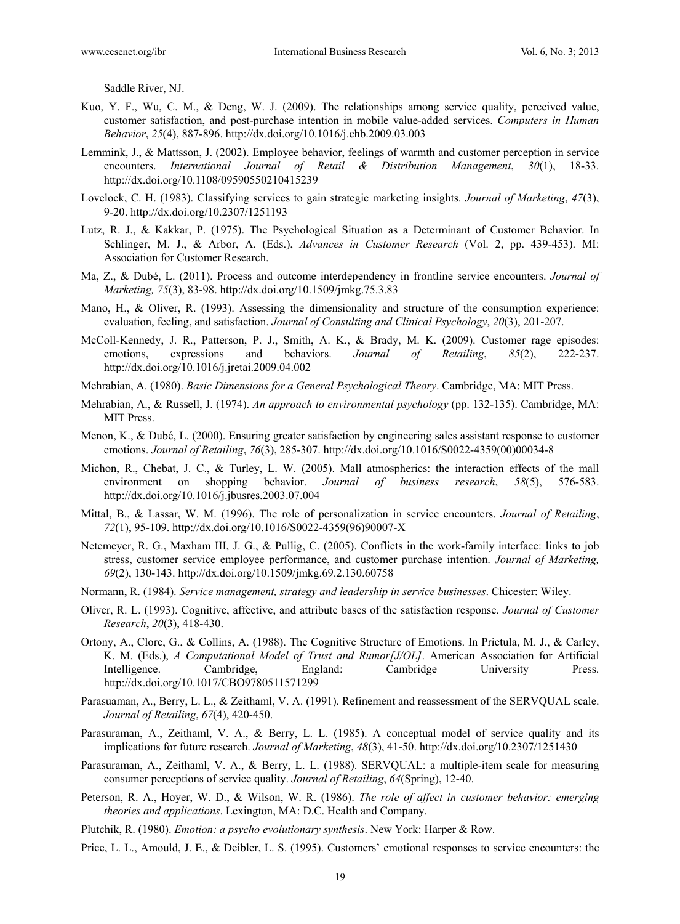Saddle River, NJ.

- Kuo, Y. F., Wu, C. M., & Deng, W. J. (2009). The relationships among service quality, perceived value, customer satisfaction, and post-purchase intention in mobile value-added services. *Computers in Human Behavior*, *25*(4), 887-896. http://dx.doi.org/10.1016/j.chb.2009.03.003
- Lemmink, J., & Mattsson, J. (2002). Employee behavior, feelings of warmth and customer perception in service encounters. *International Journal of Retail & Distribution Management*, *30*(1), 18-33. http://dx.doi.org/10.1108/09590550210415239
- Lovelock, C. H. (1983). Classifying services to gain strategic marketing insights. *Journal of Marketing*, *47*(3), 9-20. http://dx.doi.org/10.2307/1251193
- Lutz, R. J., & Kakkar, P. (1975). The Psychological Situation as a Determinant of Customer Behavior. In Schlinger, M. J., & Arbor, A. (Eds.), *Advances in Customer Research* (Vol. 2, pp. 439-453). MI: Association for Customer Research.
- Ma, Z., & Dubé, L. (2011). Process and outcome interdependency in frontline service encounters. *Journal of Marketing, 75*(3), 83-98. http://dx.doi.org/10.1509/jmkg.75.3.83
- Mano, H., & Oliver, R. (1993). Assessing the dimensionality and structure of the consumption experience: evaluation, feeling, and satisfaction. *Journal of Consulting and Clinical Psychology*, *20*(3), 201-207.
- McColl-Kennedy, J. R., Patterson, P. J., Smith, A. K., & Brady, M. K. (2009). Customer rage episodes: emotions, expressions and behaviors. *Journal of Retailing*, *85*(2), 222-237. http://dx.doi.org/10.1016/j.jretai.2009.04.002
- Mehrabian, A. (1980). *Basic Dimensions for a General Psychological Theory*. Cambridge, MA: MIT Press.
- Mehrabian, A., & Russell, J. (1974). *An approach to environmental psychology* (pp. 132-135). Cambridge, MA: MIT Press.
- Menon, K., & Dubé, L. (2000). Ensuring greater satisfaction by engineering sales assistant response to customer emotions. *Journal of Retailing*, *76*(3), 285-307. http://dx.doi.org/10.1016/S0022-4359(00)00034-8
- Michon, R., Chebat, J. C., & Turley, L. W. (2005). Mall atmospherics: the interaction effects of the mall environment on shopping behavior. *Journal of business research*, *58*(5), 576-583. http://dx.doi.org/10.1016/j.jbusres.2003.07.004
- Mittal, B., & Lassar, W. M. (1996). The role of personalization in service encounters. *Journal of Retailing*, *72*(1), 95-109. http://dx.doi.org/10.1016/S0022-4359(96)90007-X
- Netemeyer, R. G., Maxham III, J. G., & Pullig, C. (2005). Conflicts in the work-family interface: links to job stress, customer service employee performance, and customer purchase intention. *Journal of Marketing, 69*(2), 130-143. http://dx.doi.org/10.1509/jmkg.69.2.130.60758
- Normann, R. (1984). *Service management, strategy and leadership in service businesses*. Chicester: Wiley.
- Oliver, R. L. (1993). Cognitive, affective, and attribute bases of the satisfaction response. *Journal of Customer Research*, *20*(3), 418-430.
- Ortony, A., Clore, G., & Collins, A. (1988). The Cognitive Structure of Emotions. In Prietula, M. J., & Carley, K. M. (Eds.), *A Computational Model of Trust and Rumor[J/OL]*. American Association for Artificial Intelligence. Cambridge, England: Cambridge University Press. http://dx.doi.org/10.1017/CBO9780511571299
- Parasuaman, A., Berry, L. L., & Zeithaml, V. A. (1991). Refinement and reassessment of the SERVQUAL scale. *Journal of Retailing*, *67*(4), 420-450.
- Parasuraman, A., Zeithaml, V. A., & Berry, L. L. (1985). A conceptual model of service quality and its implications for future research. *Journal of Marketing*, *48*(3), 41-50. http://dx.doi.org/10.2307/1251430
- Parasuraman, A., Zeithaml, V. A., & Berry, L. L. (1988). SERVQUAL: a multiple-item scale for measuring consumer perceptions of service quality. *Journal of Retailing*, *64*(Spring), 12-40.
- Peterson, R. A., Hoyer, W. D., & Wilson, W. R. (1986). *The role of affect in customer behavior: emerging theories and applications*. Lexington, MA: D.C. Health and Company.
- Plutchik, R. (1980). *Emotion: a psycho evolutionary synthesis*. New York: Harper & Row.
- Price, L. L., Amould, J. E., & Deibler, L. S. (1995). Customers' emotional responses to service encounters: the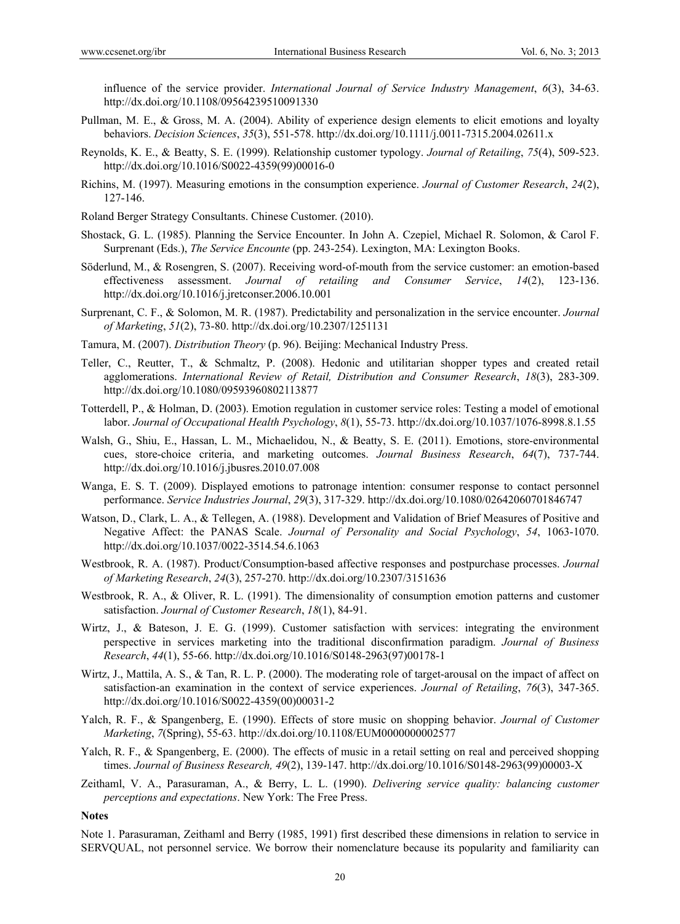influence of the service provider. *International Journal of Service Industry Management*, *6*(3), 34-63. http://dx.doi.org/10.1108/09564239510091330

- Pullman, M. E., & Gross, M. A. (2004). Ability of experience design elements to elicit emotions and loyalty behaviors. *Decision Sciences*, *35*(3), 551-578. http://dx.doi.org/10.1111/j.0011-7315.2004.02611.x
- Reynolds, K. E., & Beatty, S. E. (1999). Relationship customer typology. *Journal of Retailing*, *75*(4), 509-523. http://dx.doi.org/10.1016/S0022-4359(99)00016-0
- Richins, M. (1997). Measuring emotions in the consumption experience. *Journal of Customer Research*, *24*(2), 127-146.
- Roland Berger Strategy Consultants. Chinese Customer. (2010).
- Shostack, G. L. (1985). Planning the Service Encounter. In John A. Czepiel, Michael R. Solomon, & Carol F. Surprenant (Eds.), *The Service Encounte* (pp. 243-254). Lexington, MA: Lexington Books.
- Söderlund, M., & Rosengren, S. (2007). Receiving word-of-mouth from the service customer: an emotion-based effectiveness assessment. *Journal of retailing and Consumer Service*, *14*(2), 123-136. http://dx.doi.org/10.1016/j.jretconser.2006.10.001
- Surprenant, C. F., & Solomon, M. R. (1987). Predictability and personalization in the service encounter. *Journal of Marketing*, *51*(2), 73-80. http://dx.doi.org/10.2307/1251131
- Tamura, M. (2007). *Distribution Theory* (p. 96). Beijing: Mechanical Industry Press.
- Teller, C., Reutter, T., & Schmaltz, P. (2008). Hedonic and utilitarian shopper types and created retail agglomerations. *International Review of Retail, Distribution and Consumer Research*, *18*(3), 283-309. http://dx.doi.org/10.1080/09593960802113877
- Totterdell, P., & Holman, D. (2003). Emotion regulation in customer service roles: Testing a model of emotional labor. *Journal of Occupational Health Psychology*, *8*(1), 55-73. http://dx.doi.org/10.1037/1076-8998.8.1.55
- Walsh, G., Shiu, E., Hassan, L. M., Michaelidou, N., & Beatty, S. E. (2011). Emotions, store-environmental cues, store-choice criteria, and marketing outcomes. *Journal Business Research*, *64*(7), 737-744. http://dx.doi.org/10.1016/j.jbusres.2010.07.008
- Wanga, E. S. T. (2009). Displayed emotions to patronage intention: consumer response to contact personnel performance. *Service Industries Journal*, *29*(3), 317-329. http://dx.doi.org/10.1080/02642060701846747
- Watson, D., Clark, L. A., & Tellegen, A. (1988). Development and Validation of Brief Measures of Positive and Negative Affect: the PANAS Scale. *Journal of Personality and Social Psychology*, *54*, 1063-1070. http://dx.doi.org/10.1037/0022-3514.54.6.1063
- Westbrook, R. A. (1987). Product/Consumption-based affective responses and postpurchase processes. *Journal of Marketing Research*, *24*(3), 257-270. http://dx.doi.org/10.2307/3151636
- Westbrook, R. A., & Oliver, R. L. (1991). The dimensionality of consumption emotion patterns and customer satisfaction. *Journal of Customer Research*, *18*(1), 84-91.
- Wirtz, J., & Bateson, J. E. G. (1999). Customer satisfaction with services: integrating the environment perspective in services marketing into the traditional disconfirmation paradigm. *Journal of Business Research*, *44*(1), 55-66. http://dx.doi.org/10.1016/S0148-2963(97)00178-1
- Wirtz, J., Mattila, A. S., & Tan, R. L. P. (2000). The moderating role of target-arousal on the impact of affect on satisfaction-an examination in the context of service experiences. *Journal of Retailing*, *76*(3), 347-365. http://dx.doi.org/10.1016/S0022-4359(00)00031-2
- Yalch, R. F., & Spangenberg, E. (1990). Effects of store music on shopping behavior. *Journal of Customer Marketing*, *7*(Spring), 55-63. http://dx.doi.org/10.1108/EUM0000000002577
- Yalch, R. F., & Spangenberg, E. (2000). The effects of music in a retail setting on real and perceived shopping times. *Journal of Business Research, 49*(2), 139-147. http://dx.doi.org/10.1016/S0148-2963(99)00003-X
- Zeithaml, V. A., Parasuraman, A., & Berry, L. L. (1990). *Delivering service quality: balancing customer perceptions and expectations*. New York: The Free Press.

#### **Notes**

Note 1. Parasuraman, Zeithaml and Berry (1985, 1991) first described these dimensions in relation to service in SERVQUAL, not personnel service. We borrow their nomenclature because its popularity and familiarity can